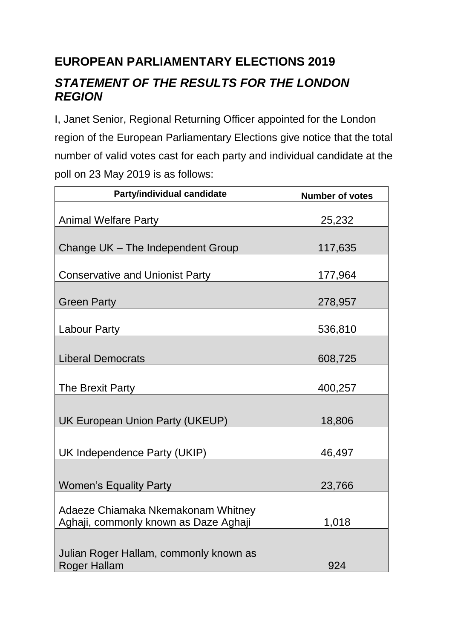## **EUROPEAN PARLIAMENTARY ELECTIONS 2019**

## *STATEMENT OF THE RESULTS FOR THE LONDON REGION*

I, Janet Senior, Regional Returning Officer appointed for the London region of the European Parliamentary Elections give notice that the total number of valid votes cast for each party and individual candidate at the poll on 23 May 2019 is as follows:

| Party/individual candidate                                                  | <b>Number of votes</b> |
|-----------------------------------------------------------------------------|------------------------|
| <b>Animal Welfare Party</b>                                                 | 25,232                 |
| Change UK - The Independent Group                                           | 117,635                |
| <b>Conservative and Unionist Party</b>                                      | 177,964                |
| <b>Green Party</b>                                                          | 278,957                |
| <b>Labour Party</b>                                                         | 536,810                |
| <b>Liberal Democrats</b>                                                    | 608,725                |
| The Brexit Party                                                            | 400,257                |
| UK European Union Party (UKEUP)                                             | 18,806                 |
| UK Independence Party (UKIP)                                                | 46,497                 |
| <b>Women's Equality Party</b>                                               | 23,766                 |
| Adaeze Chiamaka Nkemakonam Whitney<br>Aghaji, commonly known as Daze Aghaji | 1,018                  |
| Julian Roger Hallam, commonly known as                                      |                        |
| <b>Roger Hallam</b>                                                         | 924                    |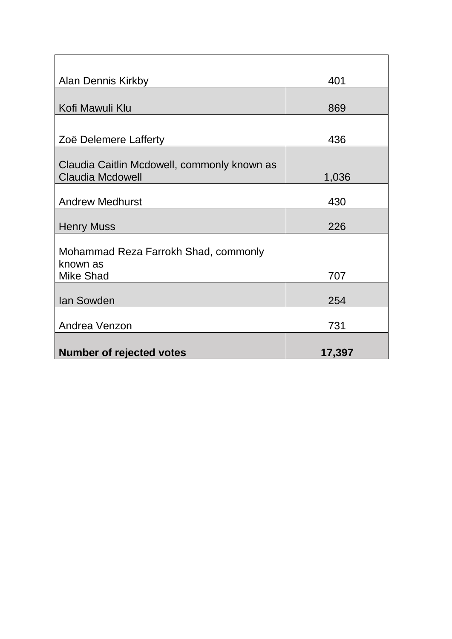| <b>Alan Dennis Kirkby</b>                   | 401    |
|---------------------------------------------|--------|
|                                             |        |
| Kofi Mawuli Klu                             | 869    |
|                                             |        |
| Zoë Delemere Lafferty                       | 436    |
|                                             |        |
| Claudia Caitlin Mcdowell, commonly known as |        |
| <b>Claudia Mcdowell</b>                     | 1,036  |
| <b>Andrew Medhurst</b>                      | 430    |
|                                             |        |
| <b>Henry Muss</b>                           | 226    |
|                                             |        |
| Mohammad Reza Farrokh Shad, commonly        |        |
| known as<br><b>Mike Shad</b>                | 707    |
|                                             |        |
| Ian Sowden                                  | 254    |
|                                             |        |
| Andrea Venzon                               | 731    |
|                                             |        |
| <b>Number of rejected votes</b>             | 17,397 |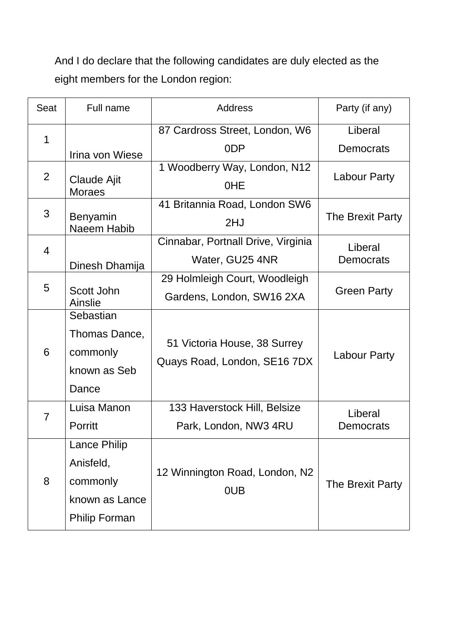And I do declare that the following candidates are duly elected as the eight members for the London region:

| Seat        | Full name                           | <b>Address</b>                     | Party (if any)      |
|-------------|-------------------------------------|------------------------------------|---------------------|
| $\mathbf 1$ |                                     | 87 Cardross Street, London, W6     | Liberal             |
|             | Irina von Wiese                     | 0 <sub>D</sub> P                   | Democrats           |
| 2           |                                     | 1 Woodberry Way, London, N12       | Labour Party        |
|             | <b>Claude Ajit</b><br><b>Moraes</b> | <b>OHE</b>                         |                     |
| 3           |                                     | 41 Britannia Road, London SW6      | The Brexit Party    |
|             | Benyamin<br>Naeem Habib             | 2HJ                                |                     |
| 4           |                                     | Cinnabar, Portnall Drive, Virginia | Liberal             |
|             | Dinesh Dhamija                      | Water, GU25 4NR                    | Democrats           |
| 5           |                                     | 29 Holmleigh Court, Woodleigh      |                     |
|             | Scott John<br>Ainslie               | Gardens, London, SW16 2XA          | <b>Green Party</b>  |
|             | Sebastian                           |                                    |                     |
|             | Thomas Dance,                       |                                    | <b>Labour Party</b> |
| 6           | commonly                            | 51 Victoria House, 38 Surrey       |                     |
|             | known as Seb                        | Quays Road, London, SE16 7DX       |                     |
|             | Dance                               |                                    |                     |
| 7           | Luisa Manon                         | 133 Haverstock Hill, Belsize       | Liberal             |
|             | Porritt                             | Park, London, NW3 4RU              | Democrats           |
| 8           | <b>Lance Philip</b>                 |                                    |                     |
|             | Anisfeld,                           |                                    | The Brexit Party    |
|             | commonly                            | 12 Winnington Road, London, N2     |                     |
|             | known as Lance                      | 0UB                                |                     |
|             | <b>Philip Forman</b>                |                                    |                     |
|             |                                     |                                    |                     |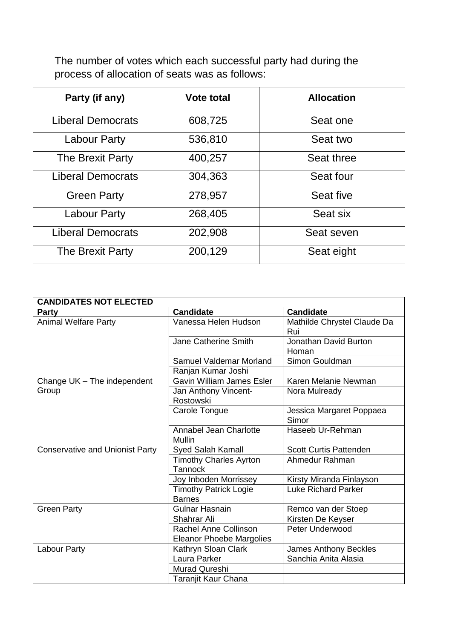The number of votes which each successful party had during the process of allocation of seats was as follows:

| Party (if any)           | <b>Vote total</b> | <b>Allocation</b> |
|--------------------------|-------------------|-------------------|
| <b>Liberal Democrats</b> | 608,725           | Seat one          |
| <b>Labour Party</b>      | 536,810           | Seat two          |
| The Brexit Party         | 400,257           | Seat three        |
| <b>Liberal Democrats</b> | 304,363           | Seat four         |
| <b>Green Party</b>       | 278,957           | Seat five         |
| <b>Labour Party</b>      | 268,405           | Seat six          |
| <b>Liberal Democrats</b> | 202,908           | Seat seven        |
| The Brexit Party         | 200,129           | Seat eight        |

| <b>CANDIDATES NOT ELECTED</b>          |                                               |                                       |  |
|----------------------------------------|-----------------------------------------------|---------------------------------------|--|
| <b>Party</b>                           | <b>Candidate</b>                              | <b>Candidate</b>                      |  |
| <b>Animal Welfare Party</b>            | Vanessa Helen Hudson                          | Mathilde Chrystel Claude Da<br>Rui    |  |
|                                        | Jane Catherine Smith                          | <b>Jonathan David Burton</b><br>Homan |  |
|                                        | Samuel Valdemar Morland                       | Simon Gouldman                        |  |
|                                        | Ranjan Kumar Joshi                            |                                       |  |
| Change UK - The independent            | <b>Gavin William James Esler</b>              | Karen Melanie Newman                  |  |
| Group                                  | Jan Anthony Vincent-<br>Rostowski             | Nora Mulready                         |  |
|                                        | Carole Tongue                                 | Jessica Margaret Poppaea<br>Simor     |  |
|                                        | Annabel Jean Charlotte<br><b>Mullin</b>       | Haseeb Ur-Rehman                      |  |
| <b>Conservative and Unionist Party</b> | <b>Syed Salah Kamall</b>                      | <b>Scott Curtis Pattenden</b>         |  |
|                                        | <b>Timothy Charles Ayrton</b><br>Tannock      | Ahmedur Rahman                        |  |
|                                        | Joy Inboden Morrissey                         | Kirsty Miranda Finlayson              |  |
|                                        | <b>Timothy Patrick Logie</b><br><b>Barnes</b> | <b>Luke Richard Parker</b>            |  |
| <b>Green Party</b>                     | <b>Gulnar Hasnain</b>                         | Remco van der Stoep                   |  |
|                                        | Shahrar Ali                                   | Kirsten De Keyser                     |  |
|                                        | Rachel Anne Collinson                         | Peter Underwood                       |  |
|                                        | <b>Eleanor Phoebe Margolies</b>               |                                       |  |
| Labour Party                           | Kathryn Sloan Clark                           | James Anthony Beckles                 |  |
|                                        | Laura Parker                                  | Sanchia Anita Alasia                  |  |
|                                        | Murad Qureshi                                 |                                       |  |
|                                        | <b>Taranjit Kaur Chana</b>                    |                                       |  |